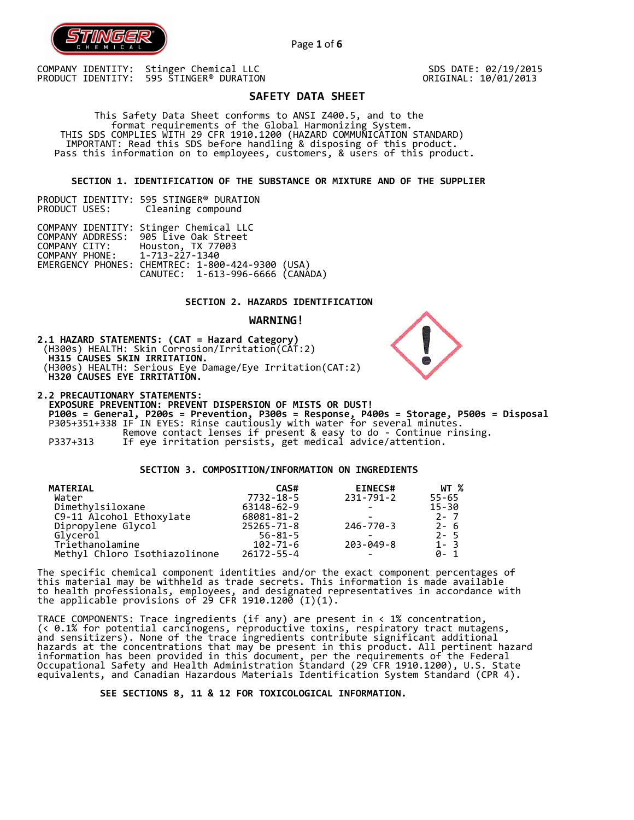

 SDS DATE: 02/19/2015 ORIGINAL: 10/01/2013

# **SAFETY DATA SHEET**

Page **1** of **6**

 This Safety Data Sheet conforms to ANSI Z400.5, and to the format requirements of the Global Harmonizing System. THIS SDS COMPLIES WITH 29 CFR 1910.1200 (HAZARD COMMUNICATION STANDARD) IMPORTANT: Read this SDS before handling & disposing of this product. Pass this information on to employees, customers, & users of this product.

**SECTION 1. IDENTIFICATION OF THE SUBSTANCE OR MIXTURE AND OF THE SUPPLIER** 

PRODUCT IDENTITY: 595 STINGER® DURATION Cleaning compound

COMPANY IDENTITY: Stinger Chemical LLC COMPANY ADDRESS: 905 Live Oak Street COMPANY CITY: Houston, TX 77003 COMPANY PHONE: 1-713-227-1340 EMERGENCY PHONES: CHEMTREC: 1-800-424-9300 (USA) CANUTEC: 1-613-996-6666 (CANADA)

# **SECTION 2. HAZARDS IDENTIFICATION**

#### **WARNING!**

**2.1 HAZARD STATEMENTS: (CAT = Hazard Category)** (H300s) HEALTH: Skin Corrosion/Irritation(CAT:2)  **H315 CAUSES SKIN IRRITATION.**  (H300s) HEALTH: Serious Eye Damage/Eye Irritation(CAT:2)  **H320 CAUSES EYE IRRITATION.** 

**2.2 PRECAUTIONARY STATEMENTS: EXPOSURE PREVENTION: PREVENT DISPERSION OF MISTS OR DUST! P100s = General, P200s = Prevention, P300s = Response, P400s = Storage, P500s = Disposal**  P305+351+338 IF IN EYES: Rinse cautiously with water for several minutes. Remove contact lenses if present & easy to do - Continue rinsing. P337+313 If eye irritation persists, get medical advice/attention.

# **SECTION 3. COMPOSITION/INFORMATION ON INGREDIENTS**

| <b>MATERIAL</b>               | CAS#             | <b>EINECS#</b>  | WT %      |
|-------------------------------|------------------|-----------------|-----------|
| Water                         | 7732-18-5        | $231 - 791 - 2$ | $55 - 65$ |
| Dimethylsiloxane              | 63148-62-9       |                 | $15 - 30$ |
| C9-11 Alcohol Ethoxylate      | 68081-81-2       |                 | $2 - 7$   |
| Dipropylene Glycol            | $25265 - 71 - 8$ | 246-770-3       | 2-6       |
| Glycerol                      | $56 - 81 - 5$    |                 | $2 - 5$   |
| Triethanolamine               | 102-71-6         | 203-049-8       | $1 - 3$   |
| Methyl Chloro Isothiazolinone | $26172 - 55 - 4$ |                 | ด- 1      |

The specific chemical component identities and/or the exact component percentages of this material may be withheld as trade secrets. This information is made available to health professionals, employees, and designated representatives in accordance with the applicable provisions of 29 CFR 1910.1200̄ (I)(1).  $\overline{\phantom{a}}$ 

TRACE COMPONENTS: Trace ingredients (if any) are present in < 1% concentration, (< 0.1% for potential carcinogens, reproductive toxins, respiratory tract mutagens, and sensitizers). None of the trace ingredients contribute significant additional hazards at the concentrations that may be present in this product. All pertinent hazard information has been provided in this document, per the requirements of the Federal Occupational Safety and Health Administration Standard (29 CFR 1910.1200), U.S. State equivalents, and Canadian Hazardous Materials Identification System Standard (CPR 4).

 **SEE SECTIONS 8, 11 & 12 FOR TOXICOLOGICAL INFORMATION.** 

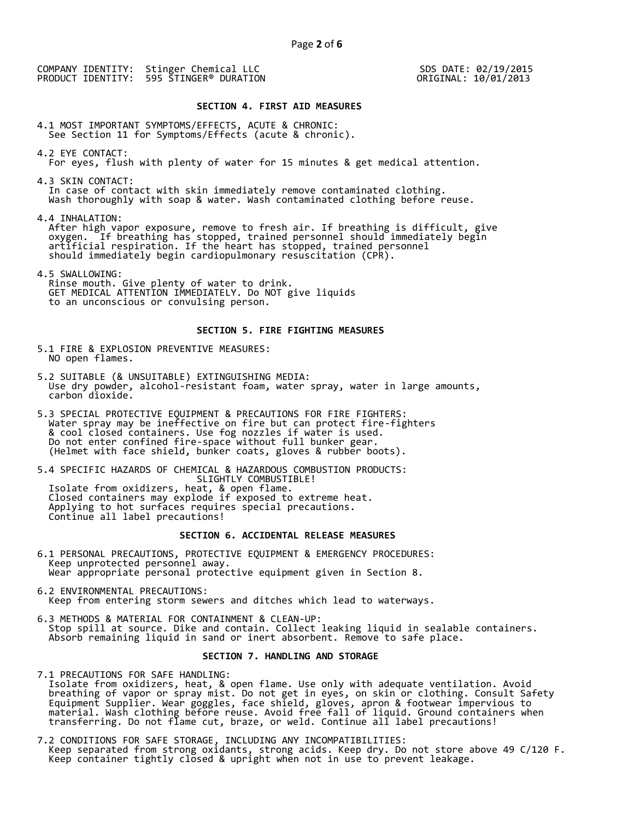SDS DATE: 02/19/2015 ORIGINAL: 10/01/2013

#### **SECTION 4. FIRST AID MEASURES**

4.1 MOST IMPORTANT SYMPTOMS/EFFECTS, ACUTE & CHRONIC: See Section 11 for Symptoms/Effects (acute & chronic).

- 4.2 EYE CONTACT: For eyes, flush with plenty of water for 15 minutes & get medical attention.
- 4.3 SKIN CONTACT: In case of contact with skin immediately remove contaminated clothing. Wash thoroughly with soap & water. Wash contaminated clothing before reuse.

4.4 INHALATION:

 After high vapor exposure, remove to fresh air. If breathing is difficult, give oxygen. If breathing has stopped, trained personnel should immediately begin artificial respiration. If the heart has stopped, trained personnel should immediately begin cardiopulmonary resuscitation (CPR).

4.5 SWALLOWING: Rinse mouth. Give plenty of water to drink. GET MEDICAL ATTENTION IMMEDIATELY. Do NOT give liquids to an unconscious or convulsing person.

# **SECTION 5. FIRE FIGHTING MEASURES**

- 5.1 FIRE & EXPLOSION PREVENTIVE MEASURES: NO open flames.
- 5.2 SUITABLE (& UNSUITABLE) EXTINGUISHING MEDIA: Use dry powder, alcohol-resistant foam, water spray, water in large amounts, carbon dioxide.
- 5.3 SPECIAL PROTECTIVE EQUIPMENT & PRECAUTIONS FOR FIRE FIGHTERS: Water spray may be ineffective on fire but can protect fire-fighters & cool closed containers. Use fog nozzles if water is used. Do not enter confined fire-space without full bunker gear. (Helmet with face shield, bunker coats, gloves & rubber boots).
- 5.4 SPECIFIC HAZARDS OF CHEMICAL & HAZARDOUS COMBUSTION PRODUCTS: SLIGHTLY COMBUSTIBLE! Isolate from oxidizers, heat, & open flame.

 Closed containers may explode if exposed to extreme heat. Applying to hot surfaces requires special precautions. Continue all label precautions!

# **SECTION 6. ACCIDENTAL RELEASE MEASURES**

- 6.1 PERSONAL PRECAUTIONS, PROTECTIVE EQUIPMENT & EMERGENCY PROCEDURES: Keep unprotected personnel away. Wear appropriate personal protective equipment given in Section 8.
- 6.2 ENVIRONMENTAL PRECAUTIONS: Keep from entering storm sewers and ditches which lead to waterways.
- 6.3 METHODS & MATERIAL FOR CONTAINMENT & CLEAN-UP: Stop spill at source. Dike and contain. Collect leaking liquid in sealable containers. Absorb remaining liquid in sand or inert absorbent. Remove to safe place.

# **SECTION 7. HANDLING AND STORAGE**

7.1 PRECAUTIONS FOR SAFE HANDLING: Isolate from oxidizers, heat, & open flame. Use only with adequate ventilation. Avoid breathing of vapor or spray mist. Do not get in eyes, on skin or clothing. Consult Safety Equipment Supplier. Wear goggles, face shield, gloves, apron & footwear impervious to material. Wash clothing before reuse. Avoid free fall of liquid. Ground containers when transferring. Do not flame cut, braze, or weld. Continue all label precautions!

7.2 CONDITIONS FOR SAFE STORAGE, INCLUDING ANY INCOMPATIBILITIES: Keep separated from strong oxidants, strong acids. Keep dry. Do not store above 49 C/120 F. Keep container tightly closed & upright when not in use to prevent leakage.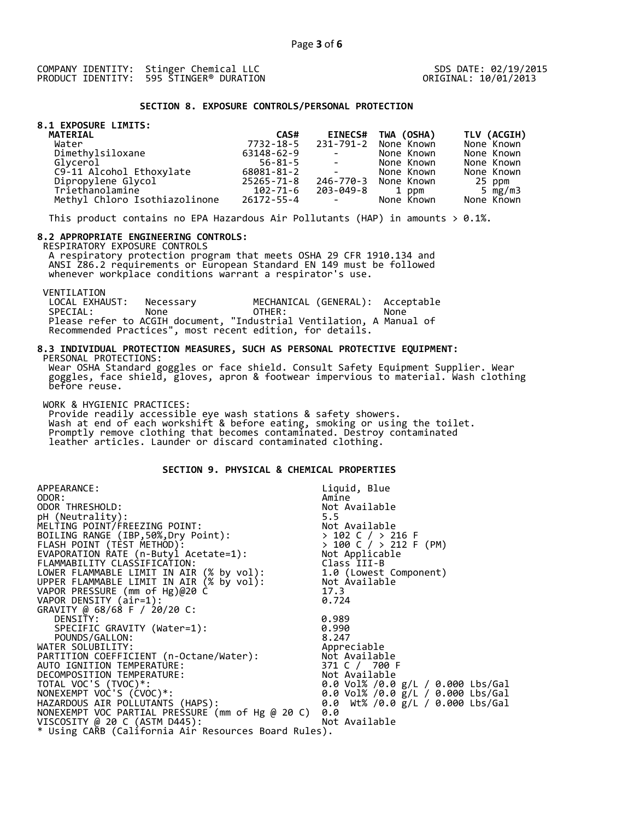### **SECTION 8. EXPOSURE CONTROLS/PERSONAL PROTECTION**

|  | 8.1 EXPOSURE LIMITS: |  |
|--|----------------------|--|
|  |                      |  |

|               |                                                                                                   |                | TLV (ACGIH)                                                |
|---------------|---------------------------------------------------------------------------------------------------|----------------|------------------------------------------------------------|
|               |                                                                                                   |                |                                                            |
|               |                                                                                                   |                | None Known                                                 |
| 63148-62-9    | $\mathcal{L}(\mathcal{L})$ and $\mathcal{L}(\mathcal{L})$ . The set of $\mathcal{L}(\mathcal{L})$ | None Known     | None Known                                                 |
| $56 - 81 - 5$ | $\sim$                                                                                            | None Known     | None Known                                                 |
| 68081-81-2    | $\mathcal{L}(\mathcal{L})$ and $\mathcal{L}(\mathcal{L})$ . The set of $\mathcal{L}(\mathcal{L})$ | None Known     | None Known                                                 |
| 25265-71-8    |                                                                                                   |                | 25 ppm                                                     |
| 102-71-6      | 203-049-8                                                                                         | 1 ppm          | 5 $mg/m3$                                                  |
|               | <b>Contract Contract State</b>                                                                    | None Known     | None Known                                                 |
|               | CAS#<br>7732-18-5<br>26172-55-4                                                                   | <b>EINECS#</b> | TWA (OSHA)<br>231-791-2 None Known<br>246-770-3 None Known |

This product contains no EPA Hazardous Air Pollutants (HAP) in amounts  $> 0.1\%$ .

#### **8.2 APPROPRIATE ENGINEERING CONTROLS:**

RESPIRATORY EXPOSURE CONTROLS

 A respiratory protection program that meets OSHA 29 CFR 1910.134 and ANSI Z86.2 requirements or European Standard EN 149 must be followed whenever workplace conditions warrant a respirator's use.

VENTILATION<br>LOCAL EXHAUST: LOCAL EXHAUST: Necessary MECHANICAL (GENERAL): Acceptable SPECIAL: None OTHER: None Please refer to ACGIH document, "Industrial Ventilation, A Manual of Recommended Practices", most recent edition, for details.

### **8.3 INDIVIDUAL PROTECTION MEASURES, SUCH AS PERSONAL PROTECTIVE EQUIPMENT:**  PERSONAL PROTECTIONS:

 Wear OSHA Standard goggles or face shield. Consult Safety Equipment Supplier. Wear goggles, face shield, gloves, apron & footwear impervious to material. Wash clothing before reuse.

WORK & HYGIENIC PRACTICES:

 Provide readily accessible eye wash stations & safety showers. Wash at end of each workshift & before eating, smoking or using the toilet. Promptly remove clothing that becomes contaminated. Destroy contaminated leather articles. Launder or discard contaminated clothing.

# **SECTION 9. PHYSICAL & CHEMICAL PROPERTIES**

| APPEARANCE:                                                                                                                                   | Liquid, Blue                                                                   |
|-----------------------------------------------------------------------------------------------------------------------------------------------|--------------------------------------------------------------------------------|
| ODOR:                                                                                                                                         | Amine                                                                          |
| ODOR THRESHOLD:                                                                                                                               | Not Available                                                                  |
| pH (Neutrality):                                                                                                                              | 5.5                                                                            |
| MELTING POINT/FREEZING POINT:                                                                                                                 |                                                                                |
| BOILING RANGE (IBP, 50%, Dry Point):                                                                                                          |                                                                                |
| FLASH POINT (TÈST METHOD):                                                                                                                    |                                                                                |
| EVAPORATION RATE $(n-Buty1$ Acetate=1):                                                                                                       | Not Available<br>> 102 C / > 216 F<br>> 100 C / > 212 F (PM)<br>Not Applicable |
| FLAMMABILITY CLASSIFICATION:                                                                                                                  | Class III-B                                                                    |
| LOWER FLAMMABLE LIMIT IN AIR (% by vol): 1.0 (Lowest Component)<br>UPPER FLAMMABLE LIMIT IN AIR (% by vol): Not Available                     |                                                                                |
|                                                                                                                                               |                                                                                |
| VAPOR PRESSURE (mm of Hg)@20 C                                                                                                                | 17.3                                                                           |
| VAPOR DENSITY (air=1):                                                                                                                        | 0.724                                                                          |
| GRAVITY @ 68/68 F / 20/20 C:                                                                                                                  |                                                                                |
| DENSITY:                                                                                                                                      | 0.989                                                                          |
| SPECIFIC GRAVITY (Water=1):                                                                                                                   | 0.990                                                                          |
| POUNDS/GALLON:                                                                                                                                | 8.247                                                                          |
| WATER SOLUBILITY:                                                                                                                             | Appreciable                                                                    |
|                                                                                                                                               |                                                                                |
|                                                                                                                                               | 371 C / 700 F                                                                  |
| PARTITION COEFFICIENT (n-Octane/Water): Not Available<br>AUTO IGNITION TEMPERATURE: 371 C / 700 F<br>DECOMPOSITION TEMPERATURE: NOt Available |                                                                                |
| TOTAL VOC'S (TVOC)*:                                                                                                                          | 0.0 Vol% /0.0 $g/L$ / 0.000 Lbs/Gal                                            |
| NONEXEMPT VOC'S (CVOC)*:                                                                                                                      | 0.0 Vol% /0.0 $\bar{g}/L$ / 0.000 Lbs/Gal                                      |
| HAZARDOUS AIR POLLUTANTS (HAPS):                                                                                                              | 0.0 Wt% /0.0 g/L / 0.000 Lbs/Gal                                               |
| NONEXEMPT VOC PARTIAL PRESSURE (mm of Hg @ 20 C)                                                                                              | 0.0                                                                            |
| VISCOSITY @ 20 C (ASTM D445):                                                                                                                 | Not Available                                                                  |
| * Using CARB (California Air Resources Board Rules).                                                                                          |                                                                                |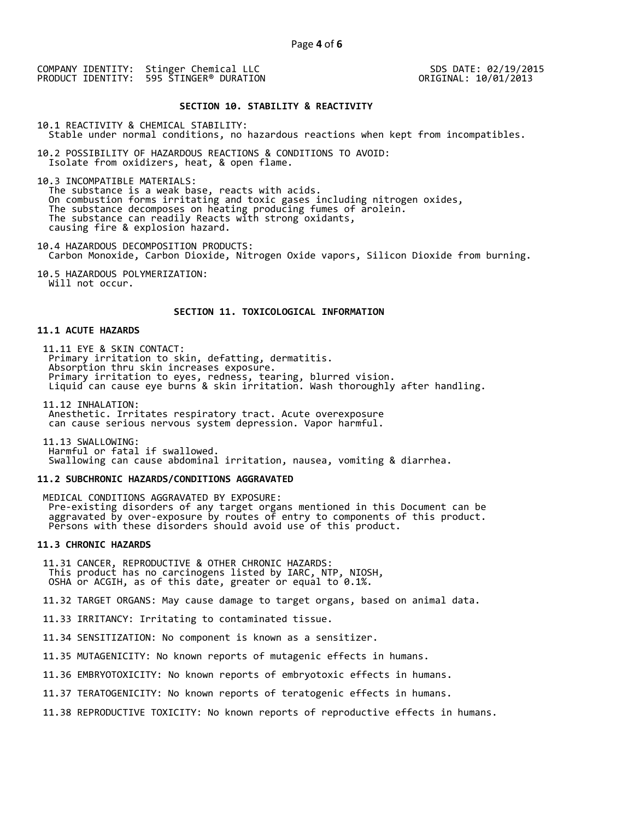SDS DATE: 02/19/2015 ORIGINAL: 10/01/2013

#### **SECTION 10. STABILITY & REACTIVITY**

10.1 REACTIVITY & CHEMICAL STABILITY:

Stable under normal conditions, no hazardous reactions when kept from incompatibles.

10.2 POSSIBILITY OF HAZARDOUS REACTIONS & CONDITIONS TO AVOID: Isolate from oxidizers, heat, & open flame.

10.3 INCOMPATIBLE MATERIALS:

 The substance is a weak base, reacts with acids. On combustion forms irritating and toxic gases including nitrogen oxides, The substance decomposes on heating producing fumes of arolein. The substance can readily Reacts with strong oxidants, causing fire & explosion hazard.

10.4 HAZARDOUS DECOMPOSITION PRODUCTS: Carbon Monoxide, Carbon Dioxide, Nitrogen Oxide vapors, Silicon Dioxide from burning.

10.5 HAZARDOUS POLYMERIZATION: Will not occur.

## **SECTION 11. TOXICOLOGICAL INFORMATION**

# **11.1 ACUTE HAZARDS**

 11.11 EYE & SKIN CONTACT: Primary irritation to skin, defatting, dermatitis. Absorption thru skin increases exposure. Primary irritation to eyes, redness, tearing, blurred vision. Liquid can cause eye burns & skin irritation. Wash thoroughly after handling.

 11.12 INHALATION: Anesthetic. Irritates respiratory tract. Acute overexposure can cause serious nervous system depression. Vapor harmful.

 11.13 SWALLOWING: Harmful or fatal if swallowed. Swallowing can cause abdominal irritation, nausea, vomiting & diarrhea.

## **11.2 SUBCHRONIC HAZARDS/CONDITIONS AGGRAVATED**

 MEDICAL CONDITIONS AGGRAVATED BY EXPOSURE: Pre-existing disorders of any target organs mentioned in this Document can be aggravated by over-exposure by routes of entry to components of this product. Persons with these disorders should avoid use of this product.

## **11.3 CHRONIC HAZARDS**

 11.31 CANCER, REPRODUCTIVE & OTHER CHRONIC HAZARDS: This product has no carcinogens listed by IARC, NTP, NIOSH, OSHA or ACGIH, as of this date, greater or equal to 0.1%.

11.32 TARGET ORGANS: May cause damage to target organs, based on animal data.

11.33 IRRITANCY: Irritating to contaminated tissue.

11.34 SENSITIZATION: No component is known as a sensitizer.

11.35 MUTAGENICITY: No known reports of mutagenic effects in humans.

11.36 EMBRYOTOXICITY: No known reports of embryotoxic effects in humans.

11.37 TERATOGENICITY: No known reports of teratogenic effects in humans.

11.38 REPRODUCTIVE TOXICITY: No known reports of reproductive effects in humans.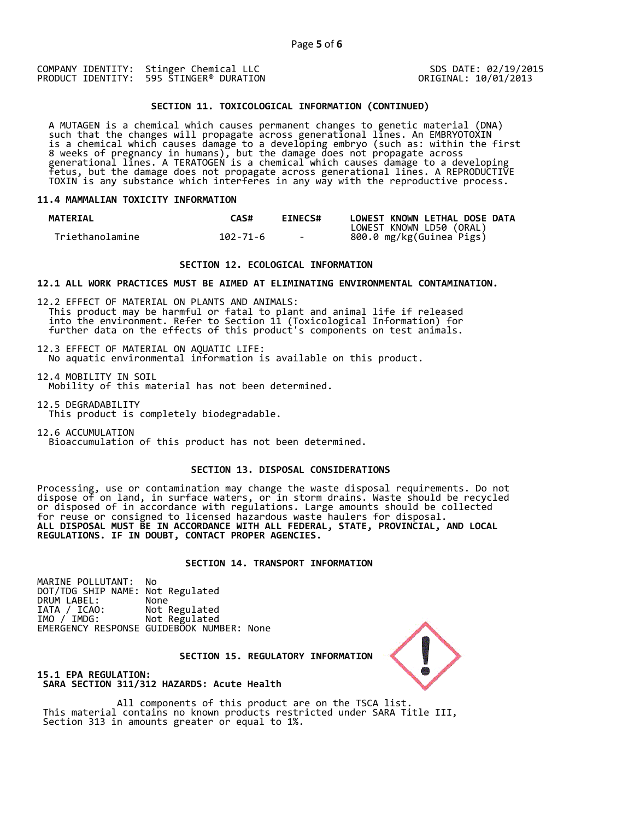SDS DATE: 02/19/2015 ORIGINAL: 10/01/2013

## **SECTION 11. TOXICOLOGICAL INFORMATION (CONTINUED)**

 A MUTAGEN is a chemical which causes permanent changes to genetic material (DNA) such that the changes will propagate across generational lines. An EMBRYOTOXIN is a chemical which causes damage to a developing embryo (such as: within the first 8 weeks of pregnancy in humans), but the damage does not propagate across generational lines. A TERATOGEN is a chemical which causes damage to a developing fetus, but the damage does not propagate across generational lines. A REPRODUCTIVE TOXIN is any substance which interferes in any way with the reproductive process.

#### **11.4 MAMMALIAN TOXICITY INFORMATION**

| <b>MATERIAL</b> | CAS#     | <b>EINECS#</b> | LOWEST KNOWN LETHAL DOSE DATA |
|-----------------|----------|----------------|-------------------------------|
|                 |          |                | LOWEST KNOWN LD50 (ORAL)      |
| Triethanolamine | 102-71-6 | <b>Service</b> | 800.0 mg/kg(Guinea Pigs)      |

## **SECTION 12. ECOLOGICAL INFORMATION**

**12.1 ALL WORK PRACTICES MUST BE AIMED AT ELIMINATING ENVIRONMENTAL CONTAMINATION.** 

12.2 EFFECT OF MATERIAL ON PLANTS AND ANIMALS: This product may be harmful or fatal to plant and animal life if released into the environment. Refer to Section 11 (Toxicological Information) for further data on the effects of this product's components on test animals.

12.3 EFFECT OF MATERIAL ON AQUATIC LIFE: No aquatic environmental information is available on this product.

12.4 MOBILITY IN SOIL Mobility of this material has not been determined.

12.5 DEGRADABILITY This product is completely biodegradable.

12.6 ACCUMULATION Bioaccumulation of this product has not been determined.

# **SECTION 13. DISPOSAL CONSIDERATIONS**

Processing, use or contamination may change the waste disposal requirements. Do not dispose of on land, in surface waters, or in storm drains. Waste should be recycled or disposed of in accordance with regulations. Large amounts should be collected for reuse or consigned to licensed hazardous waste haulers for disposal. **ALL DISPOSAL MUST BE IN ACCORDANCE WITH ALL FEDERAL, STATE, PROVINCIAL, AND LOCAL REGULATIONS. IF IN DOUBT, CONTACT PROPER AGENCIES.** 

# **SECTION 14. TRANSPORT INFORMATION**

MARINE POLLUTANT: No DOT/TDG SHIP NAME: Not Regulated DRUM LABEL:<br>IATA / ICAO:<br>IMO / IMDG: Not Regulated IMO / IMDG: Not Regulated EMERGENCY RESPONSE GUIDEBOOK NUMBER: None



 **SECTION 15. REGULATORY INFORMATION** 

**15.1 EPA REGULATION: SARA SECTION 311/312 HAZARDS: Acute Health** 

All components of this product are on the TSCA list. This material contains no known products restricted under SARA Title III, Section 313 in amounts greater or equal to 1%.